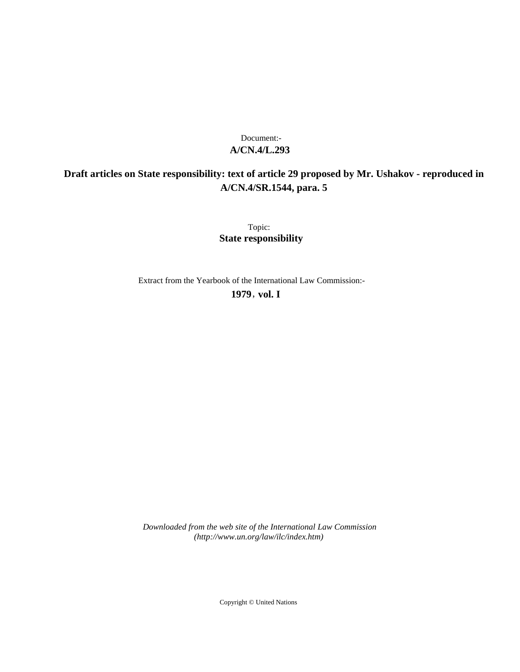# **A/CN.4/L.293** Document:-

# **Draft articles on State responsibility: text of article 29 proposed by Mr. Ushakov - reproduced in A/CN.4/SR.1544, para. 5**

Topic: **State responsibility**

Extract from the Yearbook of the International Law Commission:-

**1979** , **vol. I**

*Downloaded from the web site of the International Law Commission (http://www.un.org/law/ilc/index.htm)*

Copyright © United Nations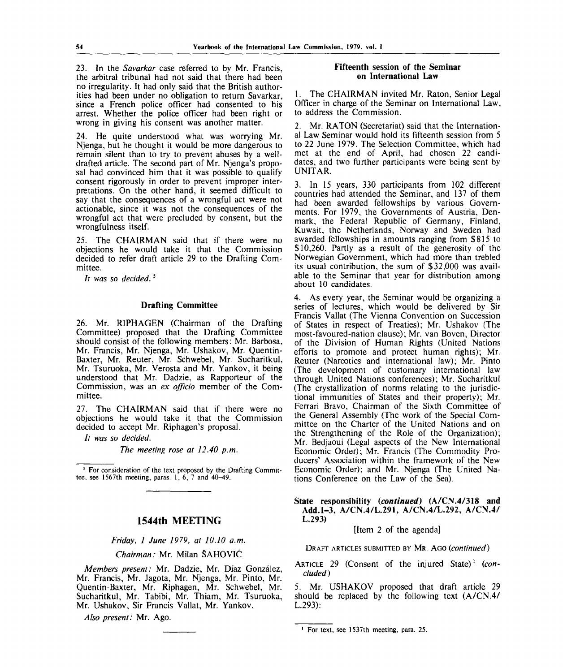23. In the *Savarkar* case referred to by Mr. Francis, the arbitral tribunal had not said that there had been no irregularity. It had only said that the British authorities had been under no obligation to return Savarkar, since a French police officer had consented to his arrest. Whether the police officer had been right or wrong in giving his consent was another matter.

24. He quite understood what was worrying Mr. Njenga, but he thought it would be more dangerous to remain silent than to try to prevent abuses by a welldrafted article. The second part of Mr. Njenga's proposal had convinced him that it was possible to qualify consent rigorously in order to prevent improper interpretations. On the other hand, it seemed difficult to say that the consequences of a wrongful act were not actionable, since it was not the consequences of the wrongful act that were precluded by consent, but the wrongfulness itself.

25. The CHAIRMAN said that if there were no objections he would take it that the Commission decided to refer draft article 29 to the Drafting Committee.

*It was so decided.*<sup>5</sup>

# **Drafting Committee**

26. Mr. RIPHAGEN (Chairman of the Drafting Committee) proposed that the Drafting Committee should consist of the following members: Mr. Barbosa, Mr. Francis, Mr. Njenga, Mr. Ushakov, Mr. Quentin-Baxter, Mr. Reuter, Mr. Schwebel, Mr. Sucharitkul, Mr. Tsuruoka, Mr. Verosta and Mr. Yankov, it being understood that Mr. Dadzie, as Rapporteur of the Commission, was an *ex officio* member of the Committee.

27. The CHAIRMAN said that if there were no objections he would take it that the Commission decided to accept Mr. Riphagen's proposal.

*It was so decided.*

*The meeting rose at 12.40 p.m.*

<sup>5</sup> For consideration of the text proposed by the Drafting Committee, see 1567th meeting, paras.  $1, 6, 7$  and  $40-49$ .

# **1544th MEETING**

*Friday, 1 June 1979, at 10.10 a.m.*

*Chairman:* Mr. Milan SAHOVIC

*Members present:* Mr. Dadzie, Mr. Diaz Gonzalez, Mr. Francis, Mr. Jagota, Mr. Njenga, Mr. Pinto, Mr. Quentin-Baxter, Mr. Riphagen, Mr. Schwebel, Mr. Sucharitkul, Mr. Tabibi, Mr. Thiam, Mr. Tsuruoka, Mr. Ushakov, Sir Francis Vallat, Mr. Yankov.

*Also present:* Mr. Ago.

#### **Fifteenth session of the Seminar on International Law**

1. The CHAIRMAN invited Mr. Raton, Senior Legal Officer in charge of the Seminar on International Law, to address the Commission.

2. Mr. RATON (Secretariat) said that the International Law Seminar would hold its fifteenth session from 5 to 22 June 1979. The Selection Committee, which had met at the end of April, had chosen 22 candidates, and two further participants were being sent by UNITAR.

3. In 15 years, 330 participants from 102 different countries had attended the Seminar, and 137 of them had been awarded fellowships by various Governments. For 1979, the Governments of Austria, Denmark, the Federal Republic of Germany, Finland, Kuwait, the Netherlands, Norway and Sweden had awarded fellowships in amounts ranging from \$815 to \$10,260. Partly as a result of the generosity of the Norwegian Government, which had more than trebled its usual contribution, the sum of \$32,000 was available to the Seminar that year for distribution among about 10 candidates.

4. As every year, the Seminar would be organizing a series of lectures, which would be delivered by Sir Francis Vallat (The Vienna Convention on Succession of States in respect of Treaties); Mr. Ushakov (The most-favoured-nation clause); Mr. van Boven, Director of the Division of Human Rights (United Nations efforts to promote and protect human rights); Mr. Reuter (Narcotics and international law); Mr. Pinto (The development of customary international law through United Nations conferences); Mr. Sucharitkul (The crystallization of norms relating to the jurisdictional immunities of States and their property); Mr. Ferrari Bravo, Chairman of the Sixth Committee of the General Assembly (The work of the Special Committee on the Charter of the United Nations and on the Strengthening of the Role of the Organization); Mr. Bedjaoui (Legal aspects of the New International Economic Order); Mr. Francis (The Commodity Producers' Association within the framework of the New Economic Order); and Mr. Njenga (The United Nations Conference on the Law of the Sea).

**State responsibility** *(continued)* **(A/CN.4/318 and Add.1-3, A/CN.4/L.291, A/CN.4/L.292, A/CN.4/ L.293)**

[Item 2 of the agenda]

DRAFT ARTICLES SUBMITTED BY MR. AGO *(continued)*

ARTICLE 29 (Consent of the injured State)' *(concluded)*

*5.* Mr. USHAKOV proposed that draft article 29 should be replaced by the following text (A/CN.4/ L.293):

For text, see 1537th meeting, para. 25.